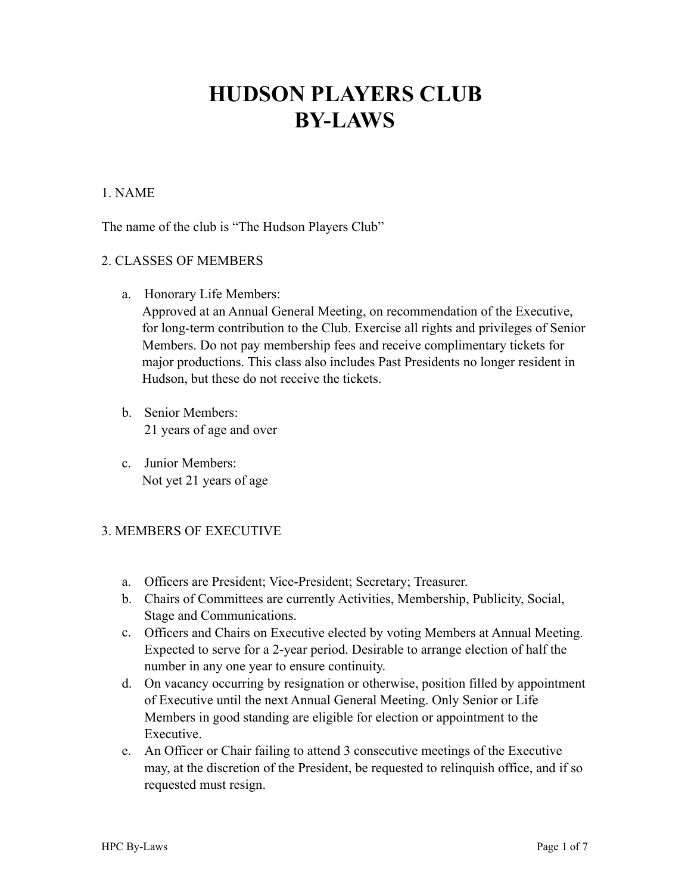# **HUDSON PLAYERS CLUB BY-LAWS**

## 1. NAME

The name of the club is "The Hudson Players Club"

#### 2. CLASSES OF MEMBERS

a. Honorary Life Members:

Approved at an Annual General Meeting, on recommendation of the Executive, for long-term contribution to the Club. Exercise all rights and privileges of Senior Members. Do not pay membership fees and receive complimentary tickets for major productions. This class also includes Past Presidents no longer resident in Hudson, but these do not receive the tickets.

- b. Senior Members: 21 years of age and over
- c. Junior Members: Not yet 21 years of age

# 3. MEMBERS OF EXECUTIVE

- a. Officers are President; Vice-President; Secretary; Treasurer.
- b. Chairs of Committees are currently Activities, Membership, Publicity, Social, Stage and Communications.
- c. Officers and Chairs on Executive elected by voting Members at Annual Meeting. Expected to serve for a 2-year period. Desirable to arrange election of half the number in any one year to ensure continuity.
- d. On vacancy occurring by resignation or otherwise, position filled by appointment of Executive until the next Annual General Meeting. Only Senior or Life Members in good standing are eligible for election or appointment to the Executive.
- e. An Officer or Chair failing to attend 3 consecutive meetings of the Executive may, at the discretion of the President, be requested to relinquish office, and if so requested must resign.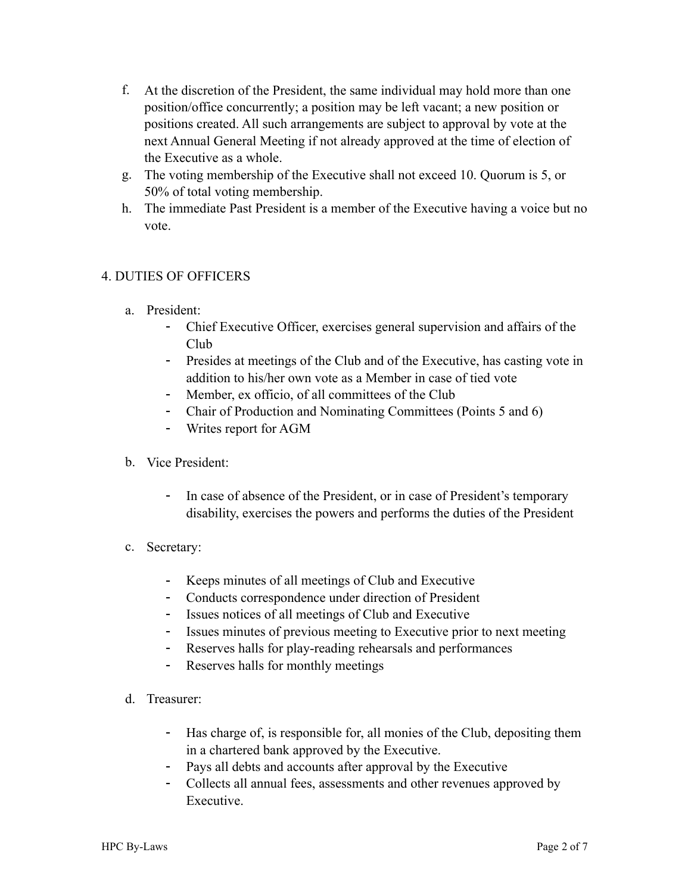- f. At the discretion of the President, the same individual may hold more than one position/office concurrently; a position may be left vacant; a new position or positions created. All such arrangements are subject to approval by vote at the next Annual General Meeting if not already approved at the time of election of the Executive as a whole.
- g. The voting membership of the Executive shall not exceed 10. Quorum is 5, or 50% of total voting membership.
- h. The immediate Past President is a member of the Executive having a voice but no vote.

# 4. DUTIES OF OFFICERS

- a. President:
	- Chief Executive Officer, exercises general supervision and affairs of the Club
	- Presides at meetings of the Club and of the Executive, has casting vote in addition to his/her own vote as a Member in case of tied vote
	- Member, ex officio, of all committees of the Club
	- Chair of Production and Nominating Committees (Points 5 and 6)
	- Writes report for AGM
- b. Vice President:
	- In case of absence of the President, or in case of President's temporary disability, exercises the powers and performs the duties of the President
- c. Secretary:
	- Keeps minutes of all meetings of Club and Executive
	- Conducts correspondence under direction of President
	- Issues notices of all meetings of Club and Executive
	- Issues minutes of previous meeting to Executive prior to next meeting
	- Reserves halls for play-reading rehearsals and performances
	- Reserves halls for monthly meetings
- d. Treasurer:
	- Has charge of, is responsible for, all monies of the Club, depositing them in a chartered bank approved by the Executive.
	- Pays all debts and accounts after approval by the Executive
	- Collects all annual fees, assessments and other revenues approved by Executive.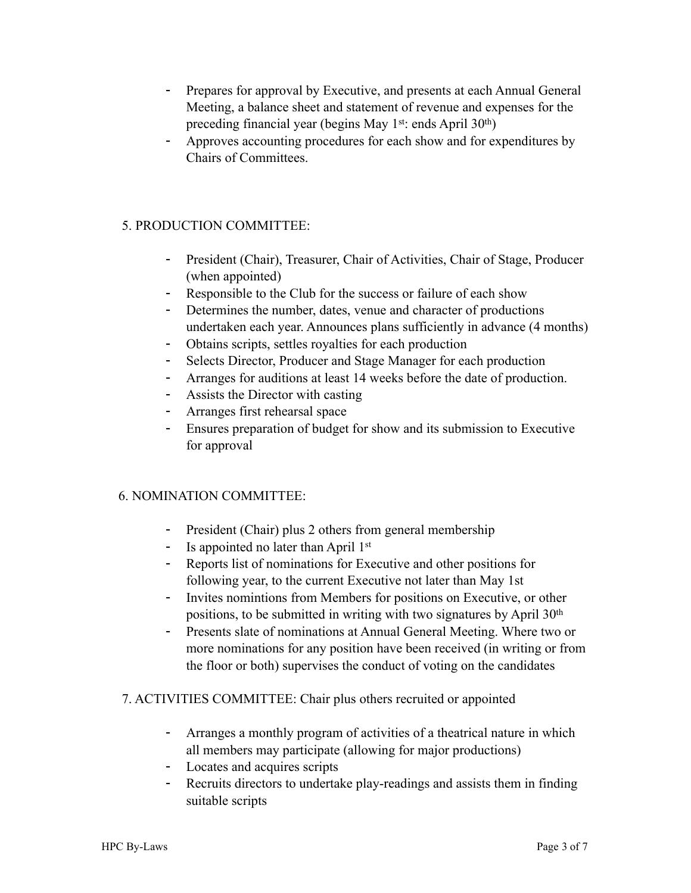- Prepares for approval by Executive, and presents at each Annual General Meeting, a balance sheet and statement of revenue and expenses for the preceding financial year (begins May 1<sup>st</sup>: ends April 30<sup>th</sup>)
- Approves accounting procedures for each show and for expenditures by Chairs of Committees.

## 5. PRODUCTION COMMITTEE:

- President (Chair), Treasurer, Chair of Activities, Chair of Stage, Producer (when appointed)
- Responsible to the Club for the success or failure of each show
- Determines the number, dates, venue and character of productions undertaken each year. Announces plans sufficiently in advance (4 months)
- Obtains scripts, settles royalties for each production
- Selects Director, Producer and Stage Manager for each production
- Arranges for auditions at least 14 weeks before the date of production.
- Assists the Director with casting
- Arranges first rehearsal space
- Ensures preparation of budget for show and its submission to Executive for approval

#### 6. NOMINATION COMMITTEE:

- President (Chair) plus 2 others from general membership
- Is appointed no later than April  $1<sup>st</sup>$
- Reports list of nominations for Executive and other positions for following year, to the current Executive not later than May 1st
- Invites nomintions from Members for positions on Executive, or other positions, to be submitted in writing with two signatures by April 30<sup>th</sup>
- Presents slate of nominations at Annual General Meeting. Where two or more nominations for any position have been received (in writing or from the floor or both) supervises the conduct of voting on the candidates

#### 7. ACTIVITIES COMMITTEE: Chair plus others recruited or appointed

- Arranges a monthly program of activities of a theatrical nature in which all members may participate (allowing for major productions)
- Locates and acquires scripts
- Recruits directors to undertake play-readings and assists them in finding suitable scripts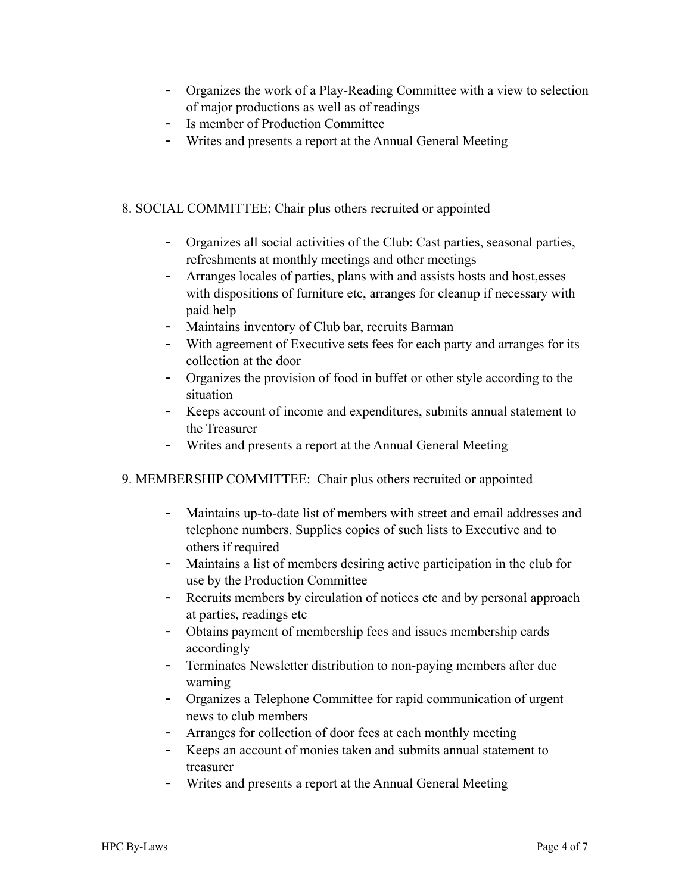- Organizes the work of a Play-Reading Committee with a view to selection of major productions as well as of readings
- Is member of Production Committee
- Writes and presents a report at the Annual General Meeting

## 8. SOCIAL COMMITTEE; Chair plus others recruited or appointed

- Organizes all social activities of the Club: Cast parties, seasonal parties, refreshments at monthly meetings and other meetings
- Arranges locales of parties, plans with and assists hosts and host,esses with dispositions of furniture etc, arranges for cleanup if necessary with paid help
- Maintains inventory of Club bar, recruits Barman
- With agreement of Executive sets fees for each party and arranges for its collection at the door
- Organizes the provision of food in buffet or other style according to the situation
- Keeps account of income and expenditures, submits annual statement to the Treasurer
- Writes and presents a report at the Annual General Meeting

#### 9. MEMBERSHIP COMMITTEE: Chair plus others recruited or appointed

- Maintains up-to-date list of members with street and email addresses and telephone numbers. Supplies copies of such lists to Executive and to others if required
- Maintains a list of members desiring active participation in the club for use by the Production Committee
- Recruits members by circulation of notices etc and by personal approach at parties, readings etc
- Obtains payment of membership fees and issues membership cards accordingly
- Terminates Newsletter distribution to non-paying members after due warning
- Organizes a Telephone Committee for rapid communication of urgent news to club members
- Arranges for collection of door fees at each monthly meeting
- Keeps an account of monies taken and submits annual statement to treasurer
- Writes and presents a report at the Annual General Meeting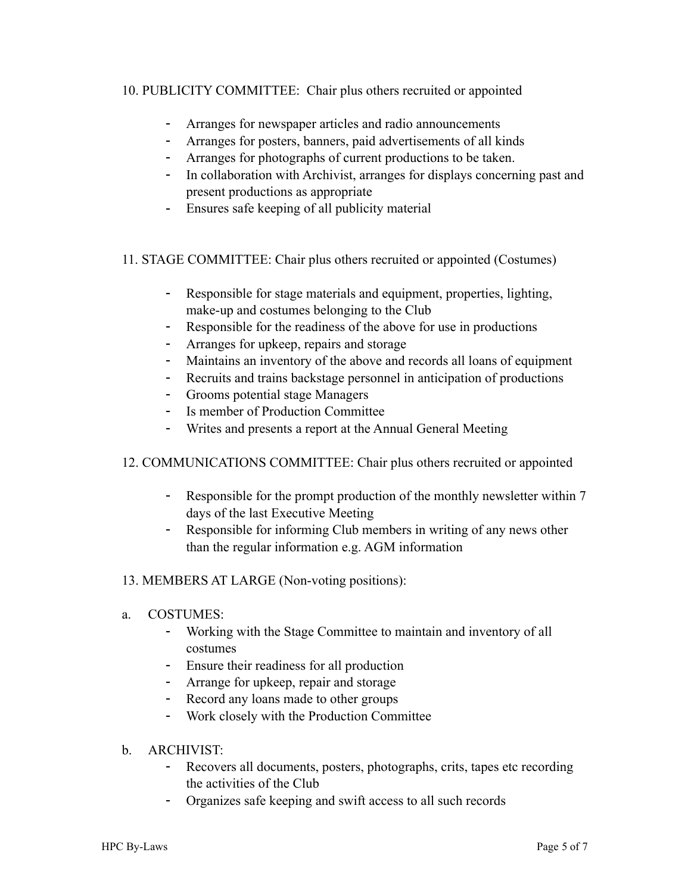## 10. PUBLICITY COMMITTEE: Chair plus others recruited or appointed

- Arranges for newspaper articles and radio announcements
- Arranges for posters, banners, paid advertisements of all kinds
- Arranges for photographs of current productions to be taken.
- In collaboration with Archivist, arranges for displays concerning past and present productions as appropriate
- Ensures safe keeping of all publicity material

## 11. STAGE COMMITTEE: Chair plus others recruited or appointed (Costumes)

- Responsible for stage materials and equipment, properties, lighting, make-up and costumes belonging to the Club
- Responsible for the readiness of the above for use in productions
- Arranges for upkeep, repairs and storage
- Maintains an inventory of the above and records all loans of equipment
- Recruits and trains backstage personnel in anticipation of productions
- Grooms potential stage Managers
- Is member of Production Committee
- Writes and presents a report at the Annual General Meeting
- 12. COMMUNICATIONS COMMITTEE: Chair plus others recruited or appointed
	- Responsible for the prompt production of the monthly newsletter within 7 days of the last Executive Meeting
	- Responsible for informing Club members in writing of any news other than the regular information e.g. AGM information
- 13. MEMBERS AT LARGE (Non-voting positions):
- a. COSTUMES:
	- Working with the Stage Committee to maintain and inventory of all costumes
	- Ensure their readiness for all production
	- Arrange for upkeep, repair and storage
	- Record any loans made to other groups
	- Work closely with the Production Committee
- b. ARCHIVIST:
	- Recovers all documents, posters, photographs, crits, tapes etc recording the activities of the Club
	- Organizes safe keeping and swift access to all such records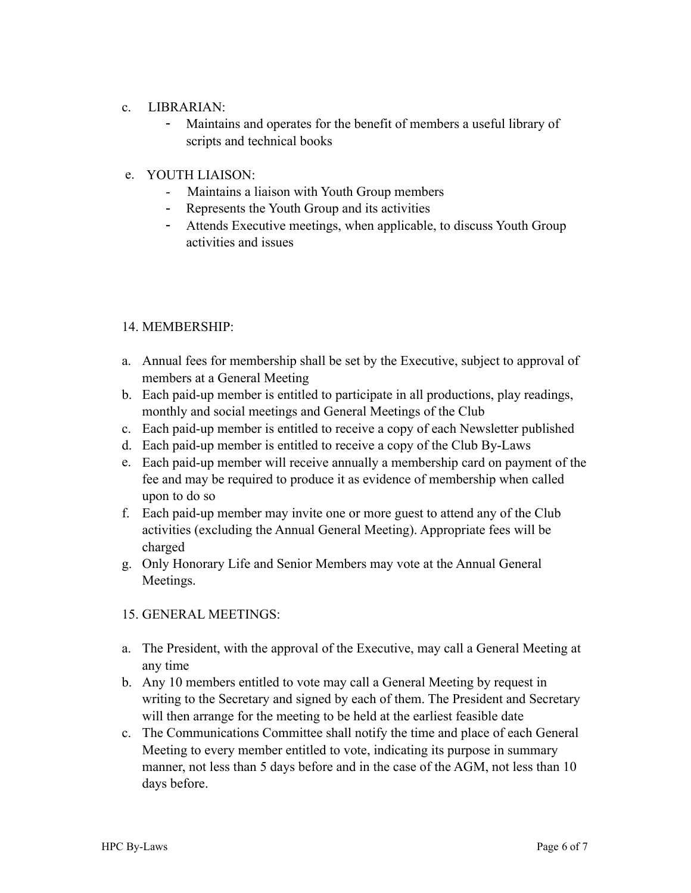#### c. LIBRARIAN:

- Maintains and operates for the benefit of members a useful library of scripts and technical books

#### e. YOUTH LIAISON:

- Maintains a liaison with Youth Group members
- Represents the Youth Group and its activities
- Attends Executive meetings, when applicable, to discuss Youth Group activities and issues

#### 14. MEMBERSHIP:

- a. Annual fees for membership shall be set by the Executive, subject to approval of members at a General Meeting
- b. Each paid-up member is entitled to participate in all productions, play readings, monthly and social meetings and General Meetings of the Club
- c. Each paid-up member is entitled to receive a copy of each Newsletter published
- d. Each paid-up member is entitled to receive a copy of the Club By-Laws
- e. Each paid-up member will receive annually a membership card on payment of the fee and may be required to produce it as evidence of membership when called upon to do so
- f. Each paid-up member may invite one or more guest to attend any of the Club activities (excluding the Annual General Meeting). Appropriate fees will be charged
- g. Only Honorary Life and Senior Members may vote at the Annual General Meetings.

#### 15. GENERAL MEETINGS:

- a. The President, with the approval of the Executive, may call a General Meeting at any time
- b. Any 10 members entitled to vote may call a General Meeting by request in writing to the Secretary and signed by each of them. The President and Secretary will then arrange for the meeting to be held at the earliest feasible date
- c. The Communications Committee shall notify the time and place of each General Meeting to every member entitled to vote, indicating its purpose in summary manner, not less than 5 days before and in the case of the AGM, not less than 10 days before.